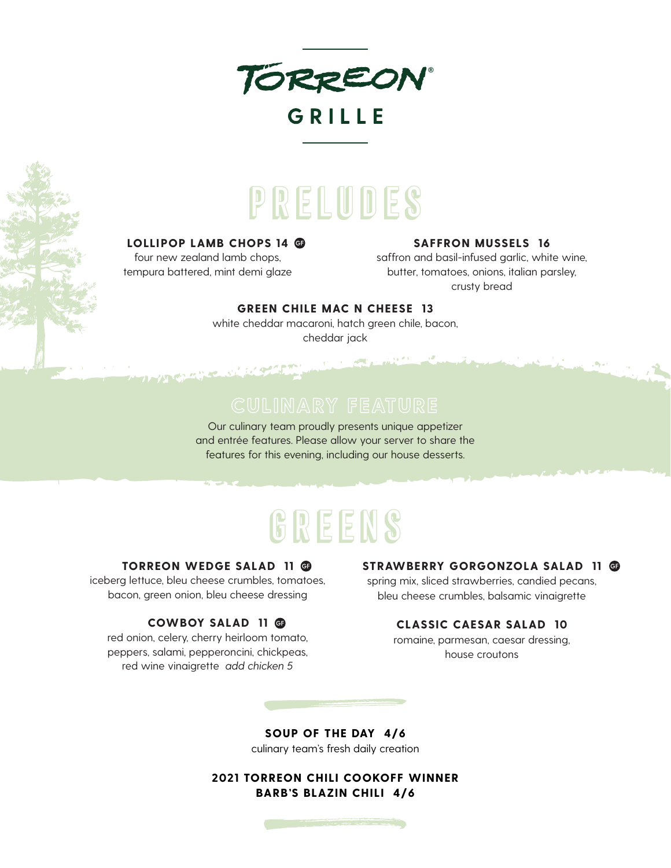

### PRELUDES

#### **LOLLIPOP LAMB CHOPS 14**

four new zealand lamb chops, tempura battered, mint demi glaze

#### **SAFFRON MUSSELS 16**

saffron and basil-infused garlic, white wine, butter, tomatoes, onions, italian parsley, crusty bread

#### **GREEN CHILE MAC N CHEESE 13**

white cheddar macaroni, hatch green chile, bacon, cheddar jack

Our culinary team proudly presents unique appetizer and entrée features. Please allow your server to share the features for this evening, including our house desserts.

### greens

#### **TORREON WEDGE SALAD 11**

iceberg lettuce, bleu cheese crumbles, tomatoes, bacon, green onion, bleu cheese dressing

#### **COWBOY SALAD 11**

red onion, celery, cherry heirloom tomato, peppers, salami, pepperoncini, chickpeas, red wine vinaigrette *add chicken 5*

#### **STRAWBERRY GORGONZOLA SALAD 11**

spring mix, sliced strawberries, candied pecans, bleu cheese crumbles, balsamic vinaigrette

#### **CLASSIC CAESAR SALAD 10**

romaine, parmesan, caesar dressing, house croutons

**SOUP OF THE DAY 4/6** culinary team's fresh daily creation

**2021 TORREON CHILI COOKOFF WINNER BARB'S BLAZIN CHILI 4/6**